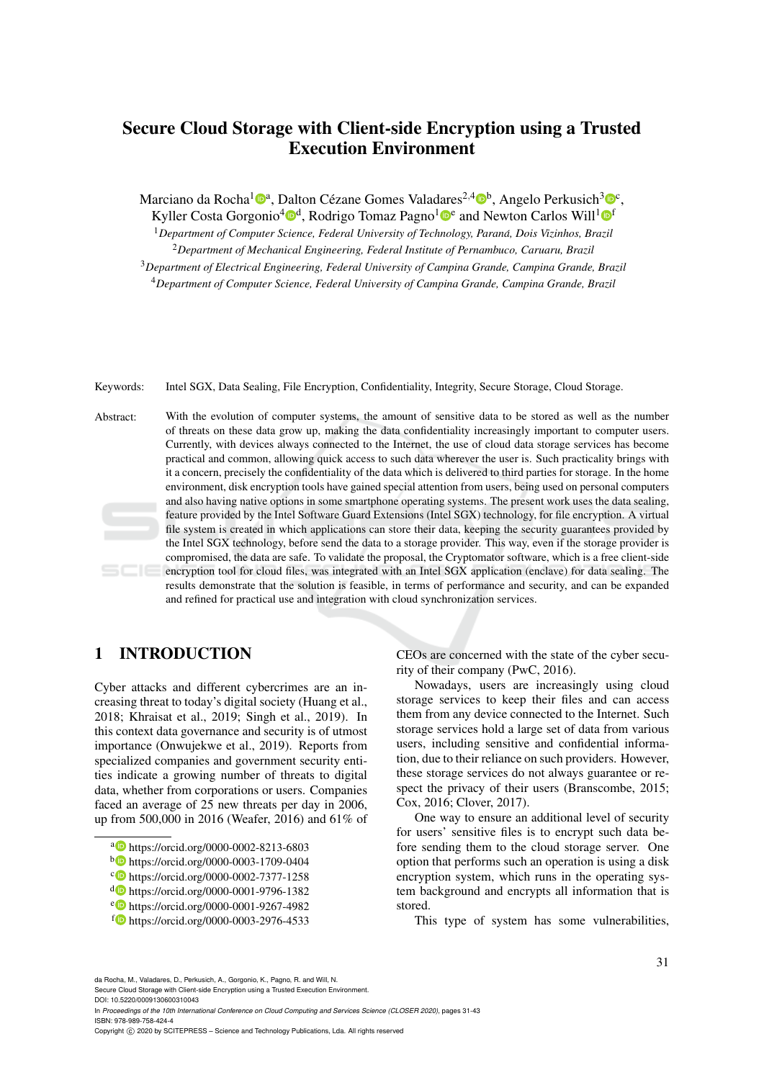# Secure Cloud Storage with Client-side Encryption using a Trusted Execution Environment

Marciano da Rocha<sup>1</sup><sup>®a</sup>, Dalton Cézane Gomes Valadares<sup>2,4</sup>®<sup>b</sup>, Angelo Perkusich<sup>3</sup>®<sup>c</sup>,

Kyller Costa Gorgonio<sup>4</sup><sup>®</sup>, Rodrigo Tomaz Pagno<sup>1</sup><sup>®</sup> and Newton Carlos Will<sup>1</sup><sup>®</sup>

<sup>1</sup>*Department of Computer Science, Federal University of Technology, Parana, Dois Vizinhos, Brazil ´* <sup>2</sup>*Department of Mechanical Engineering, Federal Institute of Pernambuco, Caruaru, Brazil*

<sup>3</sup>*Department of Electrical Engineering, Federal University of Campina Grande, Campina Grande, Brazil* <sup>4</sup>*Department of Computer Science, Federal University of Campina Grande, Campina Grande, Brazil*

Keywords: Intel SGX, Data Sealing, File Encryption, Confidentiality, Integrity, Secure Storage, Cloud Storage.

Abstract: With the evolution of computer systems, the amount of sensitive data to be stored as well as the number of threats on these data grow up, making the data confidentiality increasingly important to computer users. Currently, with devices always connected to the Internet, the use of cloud data storage services has become practical and common, allowing quick access to such data wherever the user is. Such practicality brings with it a concern, precisely the confidentiality of the data which is delivered to third parties for storage. In the home environment, disk encryption tools have gained special attention from users, being used on personal computers and also having native options in some smartphone operating systems. The present work uses the data sealing, feature provided by the Intel Software Guard Extensions (Intel SGX) technology, for file encryption. A virtual file system is created in which applications can store their data, keeping the security guarantees provided by the Intel SGX technology, before send the data to a storage provider. This way, even if the storage provider is compromised, the data are safe. To validate the proposal, the Cryptomator software, which is a free client-side encryption tool for cloud files, was integrated with an Intel SGX application (enclave) for data sealing. The results demonstrate that the solution is feasible, in terms of performance and security, and can be expanded and refined for practical use and integration with cloud synchronization services.

# 1 INTRODUCTION

Cyber attacks and different cybercrimes are an increasing threat to today's digital society (Huang et al., 2018; Khraisat et al., 2019; Singh et al., 2019). In this context data governance and security is of utmost importance (Onwujekwe et al., 2019). Reports from specialized companies and government security entities indicate a growing number of threats to digital data, whether from corporations or users. Companies faced an average of 25 new threats per day in 2006, up from 500,000 in 2016 (Weafer, 2016) and 61% of

a https://orcid.org/0000-0002-8213-6803

- <sup>b</sup> https://orcid.org/0000-0003-1709-0404
- <sup>c</sup> https://orcid.org/0000-0002-7377-1258
- <sup>d</sup> https://orcid.org/0000-0001-9796-1382
- <sup>e</sup> https://orcid.org/0000-0001-9267-4982
- <sup>f</sup> https://orcid.org/0000-0003-2976-4533

CEOs are concerned with the state of the cyber security of their company (PwC, 2016).

Nowadays, users are increasingly using cloud storage services to keep their files and can access them from any device connected to the Internet. Such storage services hold a large set of data from various users, including sensitive and confidential information, due to their reliance on such providers. However, these storage services do not always guarantee or respect the privacy of their users (Branscombe, 2015; Cox, 2016; Clover, 2017).

One way to ensure an additional level of security for users' sensitive files is to encrypt such data before sending them to the cloud storage server. One option that performs such an operation is using a disk encryption system, which runs in the operating system background and encrypts all information that is stored.

This type of system has some vulnerabilities,

da Rocha, M., Valadares, D., Perkusich, A., Gorgonio, K., Pagno, R. and Will, N.

Secure Cloud Storage with Client-side Encryption using a Trusted Execution Environment. DOI: 10.5220/0009130600310043

In *Proceedings of the 10th International Conference on Cloud Computing and Services Science (CLOSER 2020)*, pages 31-43 ISBN: 978-989-758-424-4

Copyright © 2020 by SCITEPRESS - Science and Technology Publications, Lda. All rights reserved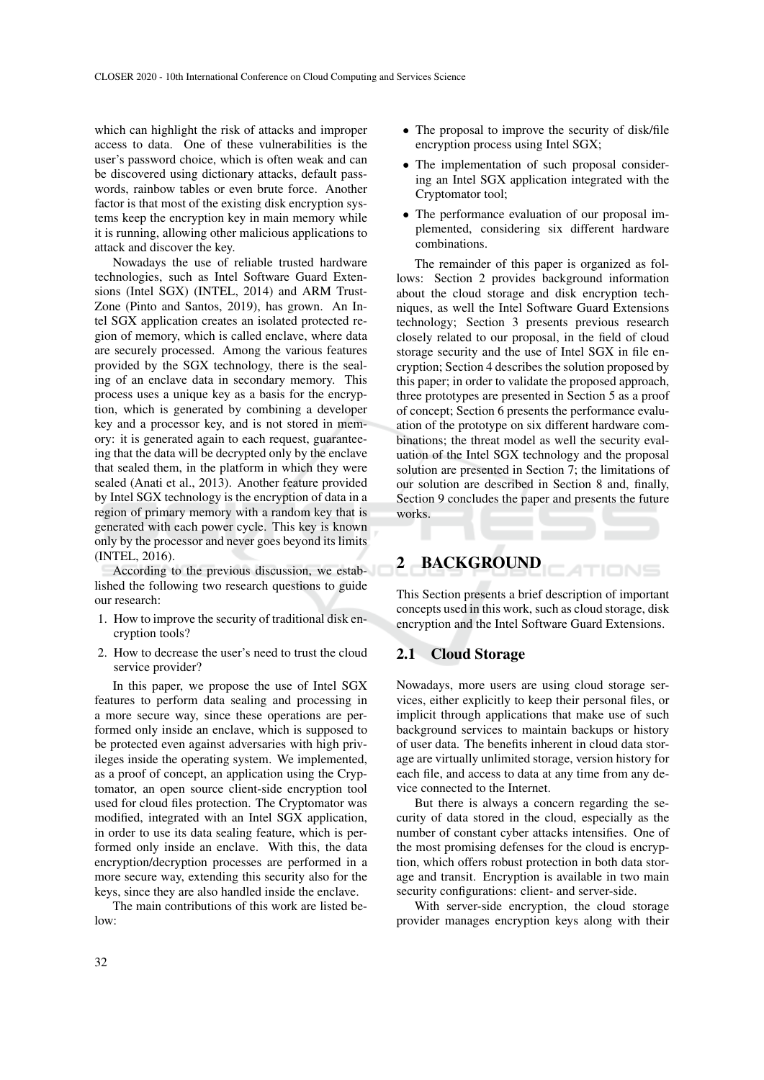which can highlight the risk of attacks and improper access to data. One of these vulnerabilities is the user's password choice, which is often weak and can be discovered using dictionary attacks, default passwords, rainbow tables or even brute force. Another factor is that most of the existing disk encryption systems keep the encryption key in main memory while it is running, allowing other malicious applications to attack and discover the key.

Nowadays the use of reliable trusted hardware technologies, such as Intel Software Guard Extensions (Intel SGX) (INTEL, 2014) and ARM Trust-Zone (Pinto and Santos, 2019), has grown. An Intel SGX application creates an isolated protected region of memory, which is called enclave, where data are securely processed. Among the various features provided by the SGX technology, there is the sealing of an enclave data in secondary memory. This process uses a unique key as a basis for the encryption, which is generated by combining a developer key and a processor key, and is not stored in memory: it is generated again to each request, guaranteeing that the data will be decrypted only by the enclave that sealed them, in the platform in which they were sealed (Anati et al., 2013). Another feature provided by Intel SGX technology is the encryption of data in a region of primary memory with a random key that is generated with each power cycle. This key is known only by the processor and never goes beyond its limits (INTEL, 2016).

According to the previous discussion, we established the following two research questions to guide our research:

- 1. How to improve the security of traditional disk encryption tools?
- 2. How to decrease the user's need to trust the cloud service provider?

In this paper, we propose the use of Intel SGX features to perform data sealing and processing in a more secure way, since these operations are performed only inside an enclave, which is supposed to be protected even against adversaries with high privileges inside the operating system. We implemented, as a proof of concept, an application using the Cryptomator, an open source client-side encryption tool used for cloud files protection. The Cryptomator was modified, integrated with an Intel SGX application, in order to use its data sealing feature, which is performed only inside an enclave. With this, the data encryption/decryption processes are performed in a more secure way, extending this security also for the keys, since they are also handled inside the enclave.

The main contributions of this work are listed below:

- The proposal to improve the security of disk/file encryption process using Intel SGX;
- The implementation of such proposal considering an Intel SGX application integrated with the Cryptomator tool;
- The performance evaluation of our proposal implemented, considering six different hardware combinations.

The remainder of this paper is organized as follows: Section 2 provides background information about the cloud storage and disk encryption techniques, as well the Intel Software Guard Extensions technology; Section 3 presents previous research closely related to our proposal, in the field of cloud storage security and the use of Intel SGX in file encryption; Section 4 describes the solution proposed by this paper; in order to validate the proposed approach, three prototypes are presented in Section 5 as a proof of concept; Section 6 presents the performance evaluation of the prototype on six different hardware combinations; the threat model as well the security evaluation of the Intel SGX technology and the proposal solution are presented in Section 7; the limitations of our solution are described in Section 8 and, finally, Section 9 concludes the paper and presents the future works.

# 2 BACKGROUND

This Section presents a brief description of important concepts used in this work, such as cloud storage, disk encryption and the Intel Software Guard Extensions.

TIONS

### 2.1 Cloud Storage

Nowadays, more users are using cloud storage services, either explicitly to keep their personal files, or implicit through applications that make use of such background services to maintain backups or history of user data. The benefits inherent in cloud data storage are virtually unlimited storage, version history for each file, and access to data at any time from any device connected to the Internet.

But there is always a concern regarding the security of data stored in the cloud, especially as the number of constant cyber attacks intensifies. One of the most promising defenses for the cloud is encryption, which offers robust protection in both data storage and transit. Encryption is available in two main security configurations: client- and server-side.

With server-side encryption, the cloud storage provider manages encryption keys along with their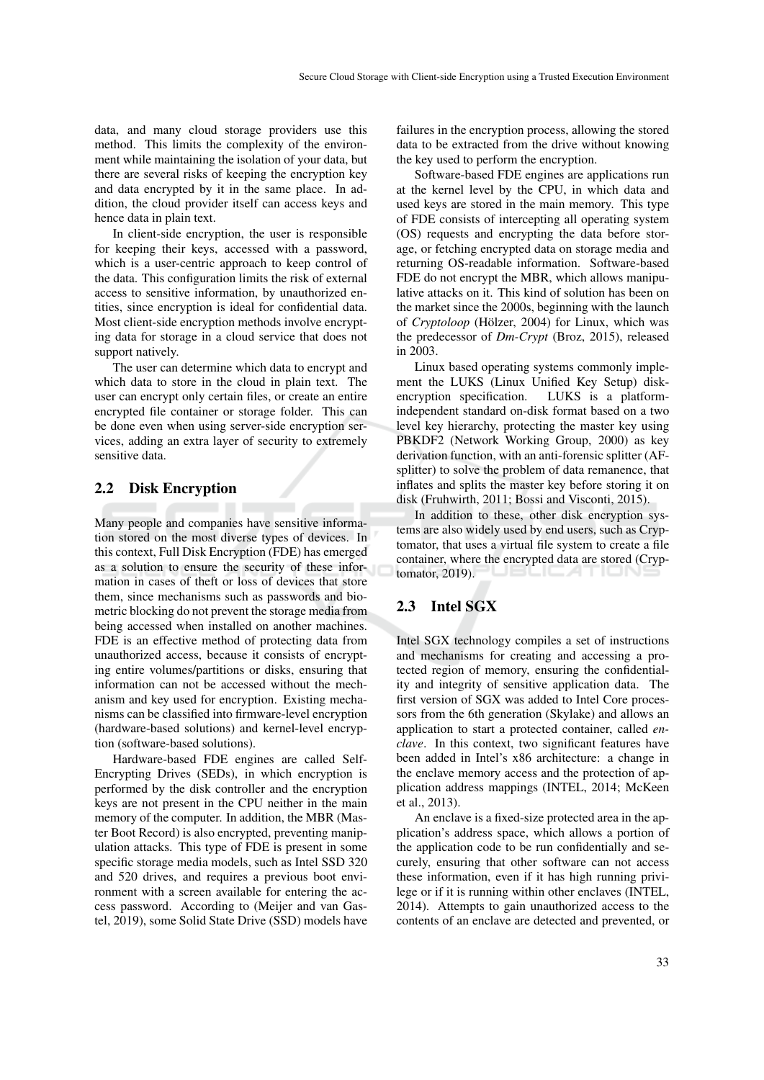data, and many cloud storage providers use this method. This limits the complexity of the environment while maintaining the isolation of your data, but there are several risks of keeping the encryption key and data encrypted by it in the same place. In addition, the cloud provider itself can access keys and hence data in plain text.

In client-side encryption, the user is responsible for keeping their keys, accessed with a password, which is a user-centric approach to keep control of the data. This configuration limits the risk of external access to sensitive information, by unauthorized entities, since encryption is ideal for confidential data. Most client-side encryption methods involve encrypting data for storage in a cloud service that does not support natively.

The user can determine which data to encrypt and which data to store in the cloud in plain text. The user can encrypt only certain files, or create an entire encrypted file container or storage folder. This can be done even when using server-side encryption services, adding an extra layer of security to extremely sensitive data.

#### 2.2 Disk Encryption

Many people and companies have sensitive information stored on the most diverse types of devices. In this context, Full Disk Encryption (FDE) has emerged as a solution to ensure the security of these information in cases of theft or loss of devices that store them, since mechanisms such as passwords and biometric blocking do not prevent the storage media from being accessed when installed on another machines. FDE is an effective method of protecting data from unauthorized access, because it consists of encrypting entire volumes/partitions or disks, ensuring that information can not be accessed without the mechanism and key used for encryption. Existing mechanisms can be classified into firmware-level encryption (hardware-based solutions) and kernel-level encryption (software-based solutions).

Hardware-based FDE engines are called Self-Encrypting Drives (SEDs), in which encryption is performed by the disk controller and the encryption keys are not present in the CPU neither in the main memory of the computer. In addition, the MBR (Master Boot Record) is also encrypted, preventing manipulation attacks. This type of FDE is present in some specific storage media models, such as Intel SSD 320 and 520 drives, and requires a previous boot environment with a screen available for entering the access password. According to (Meijer and van Gastel, 2019), some Solid State Drive (SSD) models have failures in the encryption process, allowing the stored data to be extracted from the drive without knowing the key used to perform the encryption.

Software-based FDE engines are applications run at the kernel level by the CPU, in which data and used keys are stored in the main memory. This type of FDE consists of intercepting all operating system (OS) requests and encrypting the data before storage, or fetching encrypted data on storage media and returning OS-readable information. Software-based FDE do not encrypt the MBR, which allows manipulative attacks on it. This kind of solution has been on the market since the 2000s, beginning with the launch of *Cryptoloop* (Hölzer, 2004) for Linux, which was the predecessor of *Dm-Crypt* (Broz, 2015), released in 2003.

Linux based operating systems commonly implement the LUKS (Linux Unified Key Setup) diskencryption specification. LUKS is a platformindependent standard on-disk format based on a two level key hierarchy, protecting the master key using PBKDF2 (Network Working Group, 2000) as key derivation function, with an anti-forensic splitter (AFsplitter) to solve the problem of data remanence, that inflates and splits the master key before storing it on disk (Fruhwirth, 2011; Bossi and Visconti, 2015).

In addition to these, other disk encryption systems are also widely used by end users, such as Cryptomator, that uses a virtual file system to create a file container, where the encrypted data are stored (Cryptomator, 2019).

## 2.3 Intel SGX

Intel SGX technology compiles a set of instructions and mechanisms for creating and accessing a protected region of memory, ensuring the confidentiality and integrity of sensitive application data. The first version of SGX was added to Intel Core processors from the 6th generation (Skylake) and allows an application to start a protected container, called *enclave*. In this context, two significant features have been added in Intel's x86 architecture: a change in the enclave memory access and the protection of application address mappings (INTEL, 2014; McKeen et al., 2013).

An enclave is a fixed-size protected area in the application's address space, which allows a portion of the application code to be run confidentially and securely, ensuring that other software can not access these information, even if it has high running privilege or if it is running within other enclaves (INTEL, 2014). Attempts to gain unauthorized access to the contents of an enclave are detected and prevented, or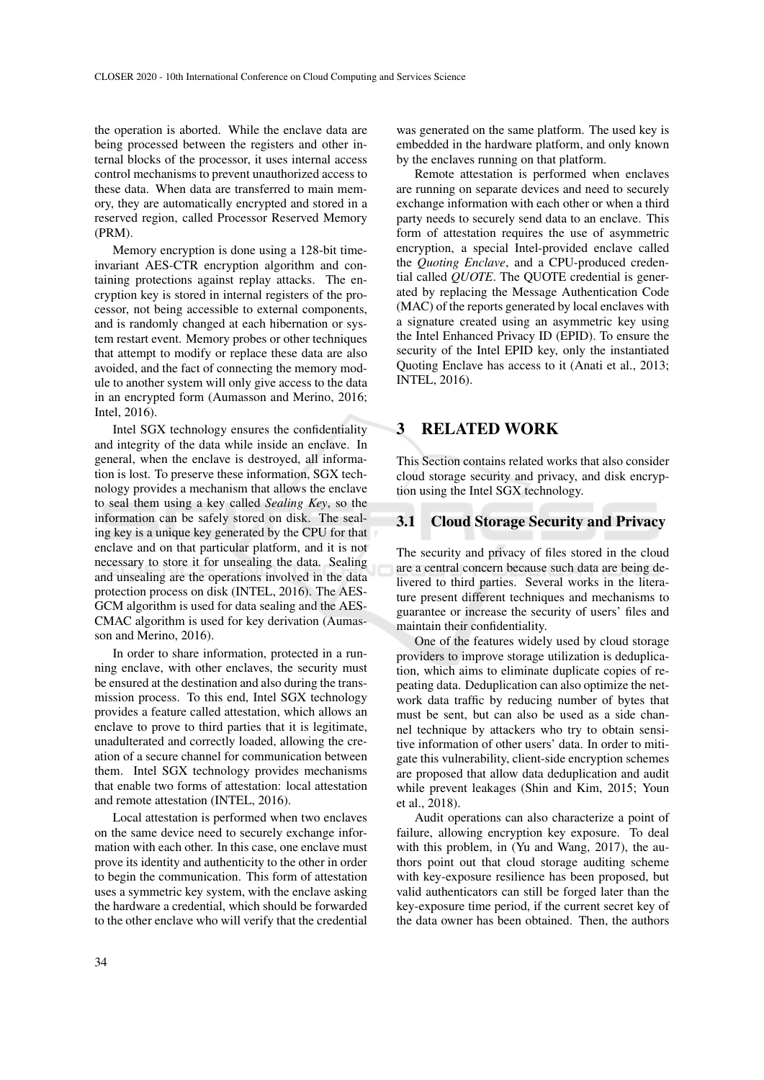the operation is aborted. While the enclave data are being processed between the registers and other internal blocks of the processor, it uses internal access control mechanisms to prevent unauthorized access to these data. When data are transferred to main memory, they are automatically encrypted and stored in a reserved region, called Processor Reserved Memory (PRM).

Memory encryption is done using a 128-bit timeinvariant AES-CTR encryption algorithm and containing protections against replay attacks. The encryption key is stored in internal registers of the processor, not being accessible to external components, and is randomly changed at each hibernation or system restart event. Memory probes or other techniques that attempt to modify or replace these data are also avoided, and the fact of connecting the memory module to another system will only give access to the data in an encrypted form (Aumasson and Merino, 2016; Intel, 2016).

Intel SGX technology ensures the confidentiality and integrity of the data while inside an enclave. In general, when the enclave is destroyed, all information is lost. To preserve these information, SGX technology provides a mechanism that allows the enclave to seal them using a key called *Sealing Key*, so the information can be safely stored on disk. The sealing key is a unique key generated by the CPU for that enclave and on that particular platform, and it is not necessary to store it for unsealing the data. Sealing and unsealing are the operations involved in the data protection process on disk (INTEL, 2016). The AES-GCM algorithm is used for data sealing and the AES-CMAC algorithm is used for key derivation (Aumasson and Merino, 2016).

In order to share information, protected in a running enclave, with other enclaves, the security must be ensured at the destination and also during the transmission process. To this end, Intel SGX technology provides a feature called attestation, which allows an enclave to prove to third parties that it is legitimate, unadulterated and correctly loaded, allowing the creation of a secure channel for communication between them. Intel SGX technology provides mechanisms that enable two forms of attestation: local attestation and remote attestation (INTEL, 2016).

Local attestation is performed when two enclaves on the same device need to securely exchange information with each other. In this case, one enclave must prove its identity and authenticity to the other in order to begin the communication. This form of attestation uses a symmetric key system, with the enclave asking the hardware a credential, which should be forwarded to the other enclave who will verify that the credential

was generated on the same platform. The used key is embedded in the hardware platform, and only known by the enclaves running on that platform.

Remote attestation is performed when enclaves are running on separate devices and need to securely exchange information with each other or when a third party needs to securely send data to an enclave. This form of attestation requires the use of asymmetric encryption, a special Intel-provided enclave called the *Quoting Enclave*, and a CPU-produced credential called *QUOTE*. The QUOTE credential is generated by replacing the Message Authentication Code (MAC) of the reports generated by local enclaves with a signature created using an asymmetric key using the Intel Enhanced Privacy ID (EPID). To ensure the security of the Intel EPID key, only the instantiated Quoting Enclave has access to it (Anati et al., 2013; INTEL, 2016).

## 3 RELATED WORK

This Section contains related works that also consider cloud storage security and privacy, and disk encryption using the Intel SGX technology.

#### 3.1 Cloud Storage Security and Privacy

The security and privacy of files stored in the cloud are a central concern because such data are being delivered to third parties. Several works in the literature present different techniques and mechanisms to guarantee or increase the security of users' files and maintain their confidentiality.

One of the features widely used by cloud storage providers to improve storage utilization is deduplication, which aims to eliminate duplicate copies of repeating data. Deduplication can also optimize the network data traffic by reducing number of bytes that must be sent, but can also be used as a side channel technique by attackers who try to obtain sensitive information of other users' data. In order to mitigate this vulnerability, client-side encryption schemes are proposed that allow data deduplication and audit while prevent leakages (Shin and Kim, 2015; Youn et al., 2018).

Audit operations can also characterize a point of failure, allowing encryption key exposure. To deal with this problem, in (Yu and Wang, 2017), the authors point out that cloud storage auditing scheme with key-exposure resilience has been proposed, but valid authenticators can still be forged later than the key-exposure time period, if the current secret key of the data owner has been obtained. Then, the authors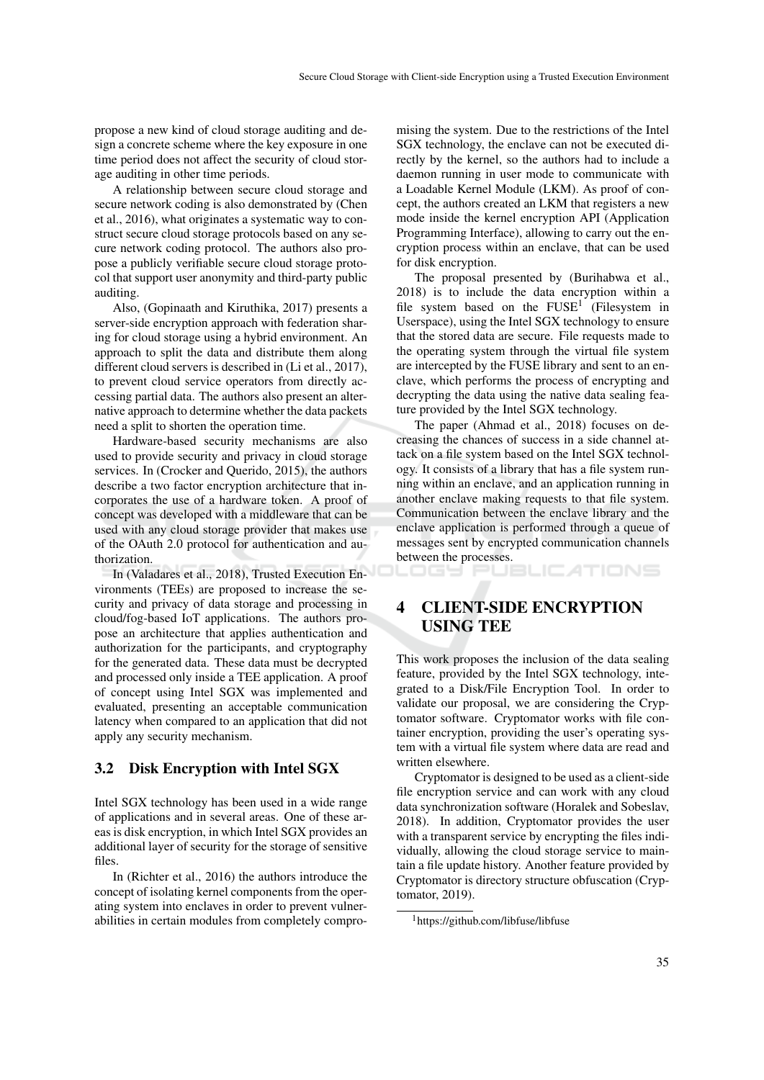propose a new kind of cloud storage auditing and design a concrete scheme where the key exposure in one time period does not affect the security of cloud storage auditing in other time periods.

A relationship between secure cloud storage and secure network coding is also demonstrated by (Chen et al., 2016), what originates a systematic way to construct secure cloud storage protocols based on any secure network coding protocol. The authors also propose a publicly verifiable secure cloud storage protocol that support user anonymity and third-party public auditing.

Also, (Gopinaath and Kiruthika, 2017) presents a server-side encryption approach with federation sharing for cloud storage using a hybrid environment. An approach to split the data and distribute them along different cloud servers is described in (Li et al., 2017), to prevent cloud service operators from directly accessing partial data. The authors also present an alternative approach to determine whether the data packets need a split to shorten the operation time.

Hardware-based security mechanisms are also used to provide security and privacy in cloud storage services. In (Crocker and Querido, 2015), the authors describe a two factor encryption architecture that incorporates the use of a hardware token. A proof of concept was developed with a middleware that can be used with any cloud storage provider that makes use of the OAuth 2.0 protocol for authentication and authorization.

In (Valadares et al., 2018), Trusted Execution Environments (TEEs) are proposed to increase the security and privacy of data storage and processing in cloud/fog-based IoT applications. The authors propose an architecture that applies authentication and authorization for the participants, and cryptography for the generated data. These data must be decrypted and processed only inside a TEE application. A proof of concept using Intel SGX was implemented and evaluated, presenting an acceptable communication latency when compared to an application that did not apply any security mechanism.

#### 3.2 Disk Encryption with Intel SGX

Intel SGX technology has been used in a wide range of applications and in several areas. One of these areas is disk encryption, in which Intel SGX provides an additional layer of security for the storage of sensitive files.

In (Richter et al., 2016) the authors introduce the concept of isolating kernel components from the operating system into enclaves in order to prevent vulnerabilities in certain modules from completely compro-

mising the system. Due to the restrictions of the Intel SGX technology, the enclave can not be executed directly by the kernel, so the authors had to include a daemon running in user mode to communicate with a Loadable Kernel Module (LKM). As proof of concept, the authors created an LKM that registers a new mode inside the kernel encryption API (Application Programming Interface), allowing to carry out the encryption process within an enclave, that can be used for disk encryption.

The proposal presented by (Burihabwa et al., 2018) is to include the data encryption within a file system based on the  $FUSE<sup>1</sup>$  (Filesystem in Userspace), using the Intel SGX technology to ensure that the stored data are secure. File requests made to the operating system through the virtual file system are intercepted by the FUSE library and sent to an enclave, which performs the process of encrypting and decrypting the data using the native data sealing feature provided by the Intel SGX technology.

The paper (Ahmad et al., 2018) focuses on decreasing the chances of success in a side channel attack on a file system based on the Intel SGX technology. It consists of a library that has a file system running within an enclave, and an application running in another enclave making requests to that file system. Communication between the enclave library and the enclave application is performed through a queue of messages sent by encrypted communication channels between the processes.

ATIONS

# 4 CLIENT-SIDE ENCRYPTION USING TEE

.ogs et

This work proposes the inclusion of the data sealing feature, provided by the Intel SGX technology, integrated to a Disk/File Encryption Tool. In order to validate our proposal, we are considering the Cryptomator software. Cryptomator works with file container encryption, providing the user's operating system with a virtual file system where data are read and written elsewhere.

Cryptomator is designed to be used as a client-side file encryption service and can work with any cloud data synchronization software (Horalek and Sobeslav, 2018). In addition, Cryptomator provides the user with a transparent service by encrypting the files individually, allowing the cloud storage service to maintain a file update history. Another feature provided by Cryptomator is directory structure obfuscation (Cryptomator, 2019).

<sup>1</sup>https://github.com/libfuse/libfuse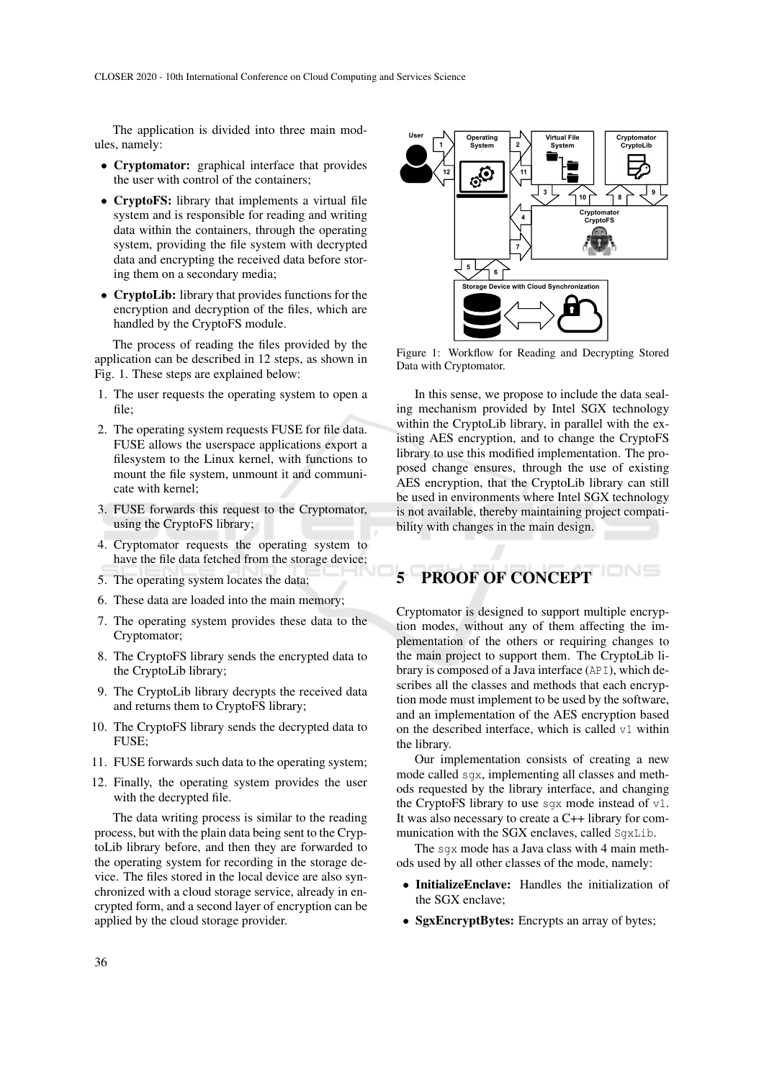The application is divided into three main modules, namely:

- Cryptomator: graphical interface that provides the user with control of the containers;
- CryptoFS: library that implements a virtual file system and is responsible for reading and writing data within the containers, through the operating system, providing the file system with decrypted data and encrypting the received data before storing them on a secondary media;
- CryptoLib: library that provides functions for the encryption and decryption of the files, which are handled by the CryptoFS module.

The process of reading the files provided by the application can be described in 12 steps, as shown in Fig. 1. These steps are explained below:

- 1. The user requests the operating system to open a file;
- 2. The operating system requests FUSE for file data. FUSE allows the userspace applications export a filesystem to the Linux kernel, with functions to mount the file system, unmount it and communicate with kernel;
- 3. FUSE forwards this request to the Cryptomator, using the CryptoFS library;
- 4. Cryptomator requests the operating system to have the file data fetched from the storage device;
- 5. The operating system locates the data;
- 6. These data are loaded into the main memory;
- 7. The operating system provides these data to the Cryptomator;
- 8. The CryptoFS library sends the encrypted data to the CryptoLib library;
- 9. The CryptoLib library decrypts the received data and returns them to CryptoFS library;
- 10. The CryptoFS library sends the decrypted data to FUSE;
- 11. FUSE forwards such data to the operating system;
- 12. Finally, the operating system provides the user with the decrypted file.

The data writing process is similar to the reading process, but with the plain data being sent to the CryptoLib library before, and then they are forwarded to the operating system for recording in the storage device. The files stored in the local device are also synchronized with a cloud storage service, already in encrypted form, and a second layer of encryption can be applied by the cloud storage provider.



Figure 1: Workflow for Reading and Decrypting Stored Data with Cryptomator.

In this sense, we propose to include the data sealing mechanism provided by Intel SGX technology within the CryptoLib library, in parallel with the existing AES encryption, and to change the CryptoFS library to use this modified implementation. The proposed change ensures, through the use of existing AES encryption, that the CryptoLib library can still be used in environments where Intel SGX technology is not available, thereby maintaining project compatibility with changes in the main design.

# 5 PROOF OF CONCEPT

Cryptomator is designed to support multiple encryption modes, without any of them affecting the implementation of the others or requiring changes to the main project to support them. The CryptoLib library is composed of a Java interface (API), which describes all the classes and methods that each encryption mode must implement to be used by the software, and an implementation of the AES encryption based on the described interface, which is called v1 within the library.

Our implementation consists of creating a new mode called sgx, implementing all classes and methods requested by the library interface, and changing the CryptoFS library to use sgx mode instead of v1. It was also necessary to create a C++ library for communication with the SGX enclaves, called SgxLib.

The sgx mode has a Java class with 4 main methods used by all other classes of the mode, namely:

- InitializeEnclave: Handles the initialization of the SGX enclave;
- SgxEncryptBytes: Encrypts an array of bytes;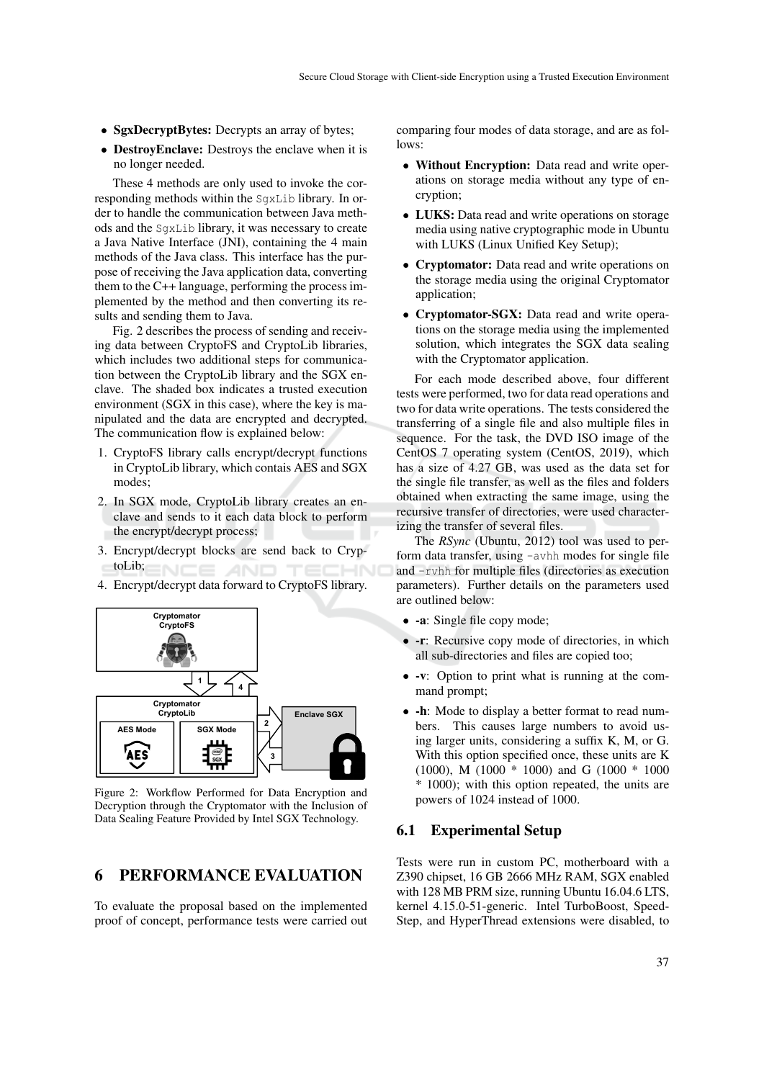- SgxDecryptBytes: Decrypts an array of bytes;
- DestroyEnclave: Destroys the enclave when it is no longer needed.

These 4 methods are only used to invoke the corresponding methods within the SgxLib library. In order to handle the communication between Java methods and the SgxLib library, it was necessary to create a Java Native Interface (JNI), containing the 4 main methods of the Java class. This interface has the purpose of receiving the Java application data, converting them to the C++ language, performing the process implemented by the method and then converting its results and sending them to Java.

Fig. 2 describes the process of sending and receiving data between CryptoFS and CryptoLib libraries, which includes two additional steps for communication between the CryptoLib library and the SGX enclave. The shaded box indicates a trusted execution environment (SGX in this case), where the key is manipulated and the data are encrypted and decrypted. The communication flow is explained below:

- 1. CryptoFS library calls encrypt/decrypt functions in CryptoLib library, which contais AES and SGX modes;
- 2. In SGX mode, CryptoLib library creates an enclave and sends to it each data block to perform the encrypt/decrypt process;
- 3. Encrypt/decrypt blocks are send back to CryptoLib; NCE AND TECHNO
- 4. Encrypt/decrypt data forward to CryptoFS library.



Figure 2: Workflow Performed for Data Encryption and Decryption through the Cryptomator with the Inclusion of Data Sealing Feature Provided by Intel SGX Technology.

## 6 PERFORMANCE EVALUATION

To evaluate the proposal based on the implemented proof of concept, performance tests were carried out comparing four modes of data storage, and are as follows:

- Without Encryption: Data read and write operations on storage media without any type of encryption;
- LUKS: Data read and write operations on storage media using native cryptographic mode in Ubuntu with LUKS (Linux Unified Key Setup);
- Cryptomator: Data read and write operations on the storage media using the original Cryptomator application;
- Cryptomator-SGX: Data read and write operations on the storage media using the implemented solution, which integrates the SGX data sealing with the Cryptomator application.

For each mode described above, four different tests were performed, two for data read operations and two for data write operations. The tests considered the transferring of a single file and also multiple files in sequence. For the task, the DVD ISO image of the CentOS 7 operating system (CentOS, 2019), which has a size of 4.27 GB, was used as the data set for the single file transfer, as well as the files and folders obtained when extracting the same image, using the recursive transfer of directories, were used characterizing the transfer of several files.

The *RSync* (Ubuntu, 2012) tool was used to perform data transfer, using -avhh modes for single file and -rvhh for multiple files (directories as execution parameters). Further details on the parameters used are outlined below:

- -a: Single file copy mode;
- - r: Recursive copy mode of directories, in which all sub-directories and files are copied too;
- -v: Option to print what is running at the command prompt;
- -h: Mode to display a better format to read numbers. This causes large numbers to avoid using larger units, considering a suffix K, M, or G. With this option specified once, these units are K (1000), M (1000 \* 1000) and G (1000 \* 1000 \* 1000); with this option repeated, the units are powers of 1024 instead of 1000.

#### 6.1 Experimental Setup

Tests were run in custom PC, motherboard with a Z390 chipset, 16 GB 2666 MHz RAM, SGX enabled with 128 MB PRM size, running Ubuntu 16.04.6 LTS, kernel 4.15.0-51-generic. Intel TurboBoost, Speed-Step, and HyperThread extensions were disabled, to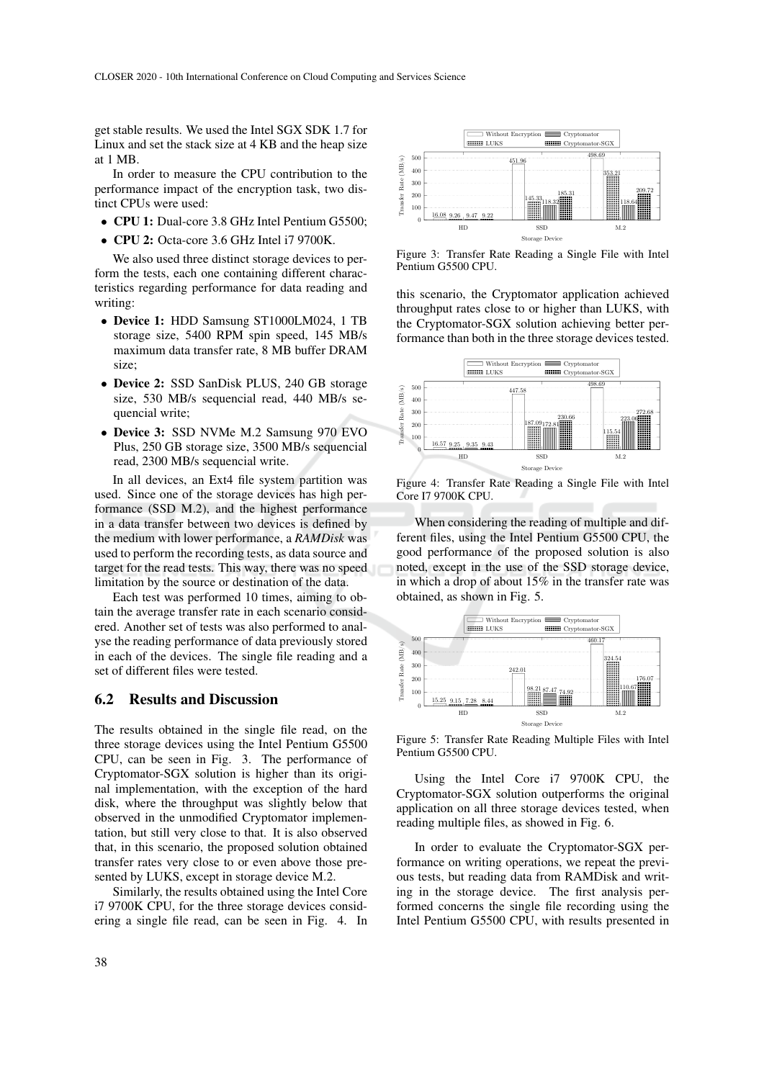get stable results. We used the Intel SGX SDK 1.7 for Linux and set the stack size at 4 KB and the heap size at 1 MB.

In order to measure the CPU contribution to the performance impact of the encryption task, two distinct CPUs were used:

- CPU 1: Dual-core 3.8 GHz Intel Pentium G5500;
- CPU 2: Octa-core 3.6 GHz Intel i7 9700K.

We also used three distinct storage devices to perform the tests, each one containing different characteristics regarding performance for data reading and writing:

- Device 1: HDD Samsung ST1000LM024, 1 TB storage size, 5400 RPM spin speed, 145 MB/s maximum data transfer rate, 8 MB buffer DRAM size;
- Device 2: SSD SanDisk PLUS, 240 GB storage size, 530 MB/s sequencial read, 440 MB/s sequencial write;
- Device 3: SSD NVMe M.2 Samsung 970 EVO Plus, 250 GB storage size, 3500 MB/s sequencial read, 2300 MB/s sequencial write.

In all devices, an Ext4 file system partition was used. Since one of the storage devices has high performance (SSD M.2), and the highest performance in a data transfer between two devices is defined by the medium with lower performance, a *RAMDisk* was used to perform the recording tests, as data source and target for the read tests. This way, there was no speed limitation by the source or destination of the data.

Each test was performed 10 times, aiming to obtain the average transfer rate in each scenario considered. Another set of tests was also performed to analyse the reading performance of data previously stored in each of the devices. The single file reading and a set of different files were tested.

#### 6.2 Results and Discussion

The results obtained in the single file read, on the three storage devices using the Intel Pentium G5500 CPU, can be seen in Fig. 3. The performance of Cryptomator-SGX solution is higher than its original implementation, with the exception of the hard disk, where the throughput was slightly below that observed in the unmodified Cryptomator implementation, but still very close to that. It is also observed that, in this scenario, the proposed solution obtained transfer rates very close to or even above those presented by LUKS, except in storage device M.2. • CPU i: Dual-core 3.8 GHz Intel Pentium G5500;<br>
• CPU 2: Octa-core 3.6 GHz Intel if profine.<br>
We also used three distinct storage devices to per-<br>
frem the teest, echo non containing different characteristics regarding p

Similarly, the results obtained using the Intel Core i7 9700K CPU, for the three storage devices consid-



Figure 3: Transfer Rate Reading a Single File with Intel Pentium G5500 CPU.

this scenario, the Cryptomator application achieved throughput rates close to or higher than LUKS, with the Cryptomator-SGX solution achieving better performance than both in the three storage devices tested.



Figure 4: Transfer Rate Reading a Single File with Intel Core I7 9700K CPU.

When considering the reading of multiple and different files, using the Intel Pentium G5500 CPU, the good performance of the proposed solution is also noted, except in the use of the SSD storage device, in which a drop of about 15% in the transfer rate was obtained, as shown in Fig. 5.



Figure 5: Transfer Rate Reading Multiple Files with Intel Pentium G5500 CPU.

Using the Intel Core i7 9700K CPU, the Cryptomator-SGX solution outperforms the original application on all three storage devices tested, when reading multiple files, as showed in Fig. 6.

In order to evaluate the Cryptomator-SGX performance on writing operations, we repeat the previous tests, but reading data from RAMDisk and writing in the storage device. The first analysis performed concerns the single file recording using the Intel Pentium G5500 CPU, with results presented in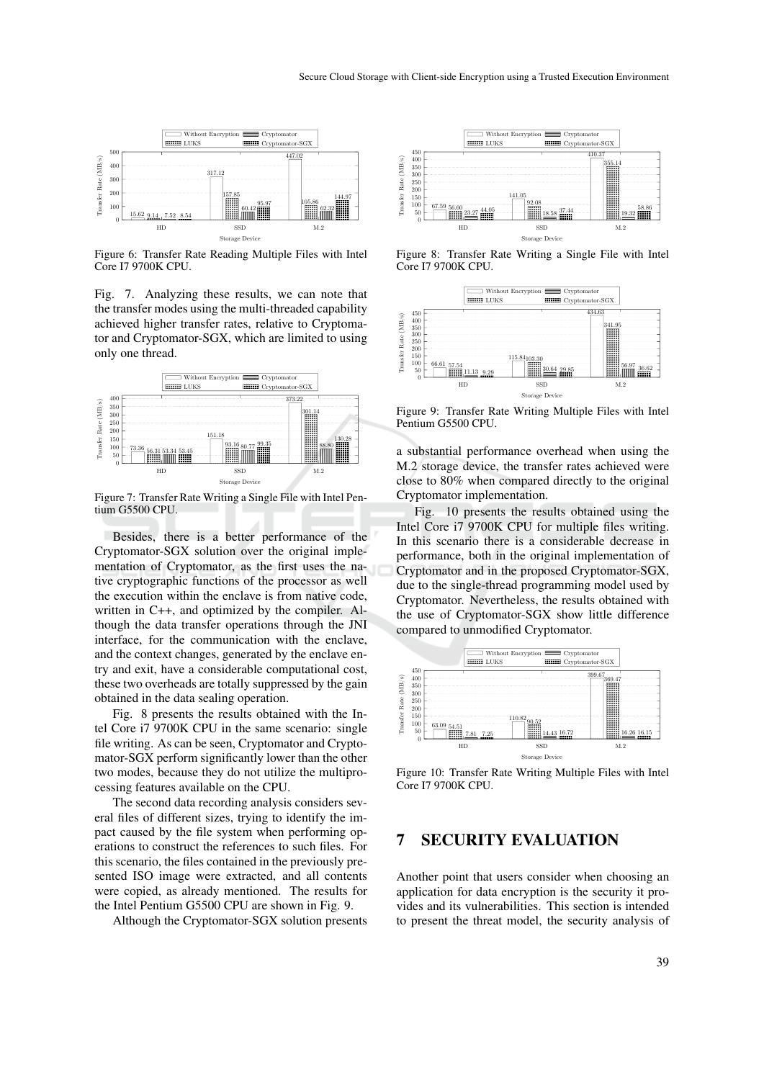

Figure 6: Transfer Rate Reading Multiple Files with Intel Core I7 9700K CPU.

Fig. 7. Analyzing these results, we can note that the transfer modes using the multi-threaded capability achieved higher transfer rates, relative to Cryptomator and Cryptomator-SGX, which are limited to using only one thread.



Figure 7: Transfer Rate Writing a Single File with Intel Pentium G5500 CPU.

Besides, there is a better performance of the Cryptomator-SGX solution over the original implementation of Cryptomator, as the first uses the native cryptographic functions of the processor as well the execution within the enclave is from native code, written in C++, and optimized by the compiler. Although the data transfer operations through the JNI interface, for the communication with the enclave, and the context changes, generated by the enclave entry and exit, have a considerable computational cost, these two overheads are totally suppressed by the gain obtained in the data sealing operation. Fig. 2. The state of the complete in CH-1, and optimized by the complete expectation of Cryptomator-SGX, which are limited to using the manner are considered in the time of the manner are considered in the manner of the ma

Fig. 8 presents the results obtained with the Intel Core i7 9700K CPU in the same scenario: single file writing. As can be seen, Cryptomator and Cryptomator-SGX perform significantly lower than the other two modes, because they do not utilize the multiprocessing features available on the CPU.

The second data recording analysis considers several files of different sizes, trying to identify the impact caused by the file system when performing operations to construct the references to such files. For this scenario, the files contained in the previously presented ISO image were extracted, and all contents were copied, as already mentioned. The results for the Intel Pentium G5500 CPU are shown in Fig. 9.



Figure 8: Transfer Rate Writing a Single File with Intel Core I7 9700K CPU.



Figure 9: Transfer Rate Writing Multiple Files with Intel Pentium G5500 CPU.

a substantial performance overhead when using the M.2 storage device, the transfer rates achieved were close to 80% when compared directly to the original Cryptomator implementation.

Fig. 10 presents the results obtained using the Intel Core i7 9700K CPU for multiple files writing. In this scenario there is a considerable decrease in performance, both in the original implementation of Cryptomator and in the proposed Cryptomator-SGX, due to the single-thread programming model used by Cryptomator. Nevertheless, the results obtained with the use of Cryptomator-SGX show little difference compared to unmodified Cryptomator.



Figure 10: Transfer Rate Writing Multiple Files with Intel Core I7 9700K CPU.

## 7 SECURITY EVALUATION

Another point that users consider when choosing an application for data encryption is the security it provides and its vulnerabilities. This section is intended to present the threat model, the security analysis of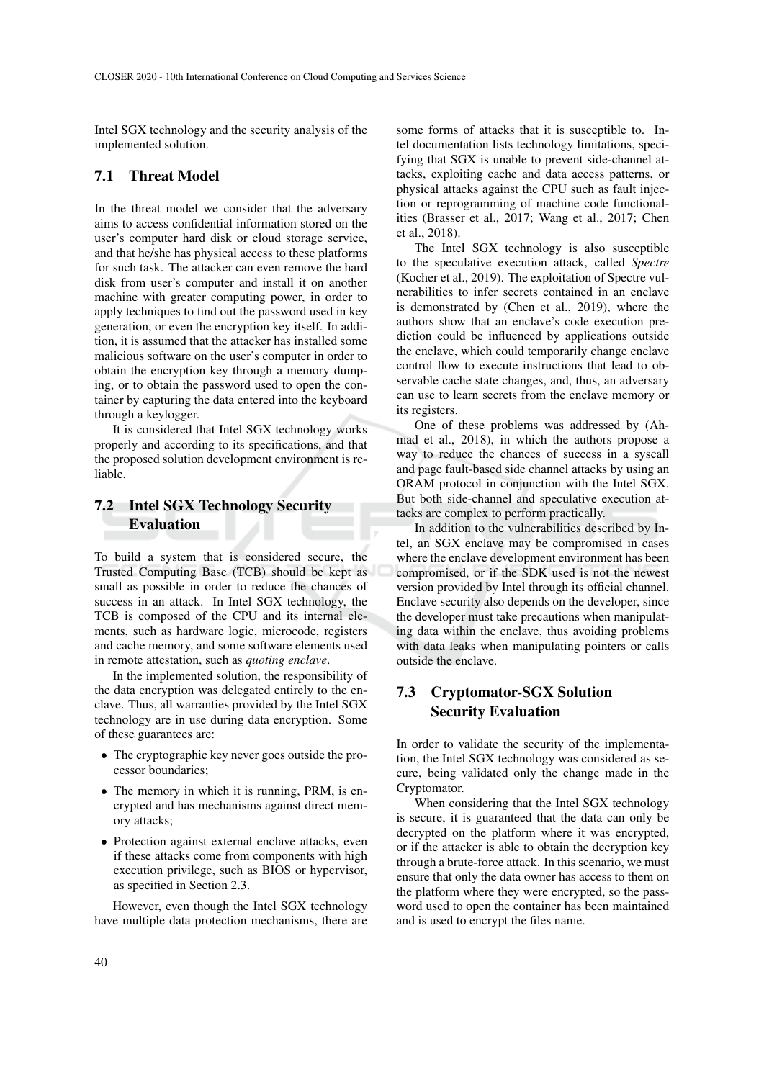Intel SGX technology and the security analysis of the implemented solution.

### 7.1 Threat Model

In the threat model we consider that the adversary aims to access confidential information stored on the user's computer hard disk or cloud storage service, and that he/she has physical access to these platforms for such task. The attacker can even remove the hard disk from user's computer and install it on another machine with greater computing power, in order to apply techniques to find out the password used in key generation, or even the encryption key itself. In addition, it is assumed that the attacker has installed some malicious software on the user's computer in order to obtain the encryption key through a memory dumping, or to obtain the password used to open the container by capturing the data entered into the keyboard through a keylogger.

It is considered that Intel SGX technology works properly and according to its specifications, and that the proposed solution development environment is reliable.

## 7.2 Intel SGX Technology Security Evaluation

To build a system that is considered secure, the Trusted Computing Base (TCB) should be kept as small as possible in order to reduce the chances of success in an attack. In Intel SGX technology, the TCB is composed of the CPU and its internal elements, such as hardware logic, microcode, registers and cache memory, and some software elements used in remote attestation, such as *quoting enclave*.

In the implemented solution, the responsibility of the data encryption was delegated entirely to the enclave. Thus, all warranties provided by the Intel SGX technology are in use during data encryption. Some of these guarantees are:

- The cryptographic key never goes outside the processor boundaries;
- The memory in which it is running, PRM, is encrypted and has mechanisms against direct memory attacks;
- Protection against external enclave attacks, even if these attacks come from components with high execution privilege, such as BIOS or hypervisor, as specified in Section 2.3.

However, even though the Intel SGX technology have multiple data protection mechanisms, there are

some forms of attacks that it is susceptible to. Intel documentation lists technology limitations, specifying that SGX is unable to prevent side-channel attacks, exploiting cache and data access patterns, or physical attacks against the CPU such as fault injection or reprogramming of machine code functionalities (Brasser et al., 2017; Wang et al., 2017; Chen et al., 2018).

The Intel SGX technology is also susceptible to the speculative execution attack, called *Spectre* (Kocher et al., 2019). The exploitation of Spectre vulnerabilities to infer secrets contained in an enclave is demonstrated by (Chen et al., 2019), where the authors show that an enclave's code execution prediction could be influenced by applications outside the enclave, which could temporarily change enclave control flow to execute instructions that lead to observable cache state changes, and, thus, an adversary can use to learn secrets from the enclave memory or its registers.

One of these problems was addressed by (Ahmad et al., 2018), in which the authors propose a way to reduce the chances of success in a syscall and page fault-based side channel attacks by using an ORAM protocol in conjunction with the Intel SGX. But both side-channel and speculative execution attacks are complex to perform practically.

In addition to the vulnerabilities described by Intel, an SGX enclave may be compromised in cases where the enclave development environment has been compromised, or if the SDK used is not the newest version provided by Intel through its official channel. Enclave security also depends on the developer, since the developer must take precautions when manipulating data within the enclave, thus avoiding problems with data leaks when manipulating pointers or calls outside the enclave.

## 7.3 Cryptomator-SGX Solution Security Evaluation

In order to validate the security of the implementation, the Intel SGX technology was considered as secure, being validated only the change made in the Cryptomator.

When considering that the Intel SGX technology is secure, it is guaranteed that the data can only be decrypted on the platform where it was encrypted, or if the attacker is able to obtain the decryption key through a brute-force attack. In this scenario, we must ensure that only the data owner has access to them on the platform where they were encrypted, so the password used to open the container has been maintained and is used to encrypt the files name.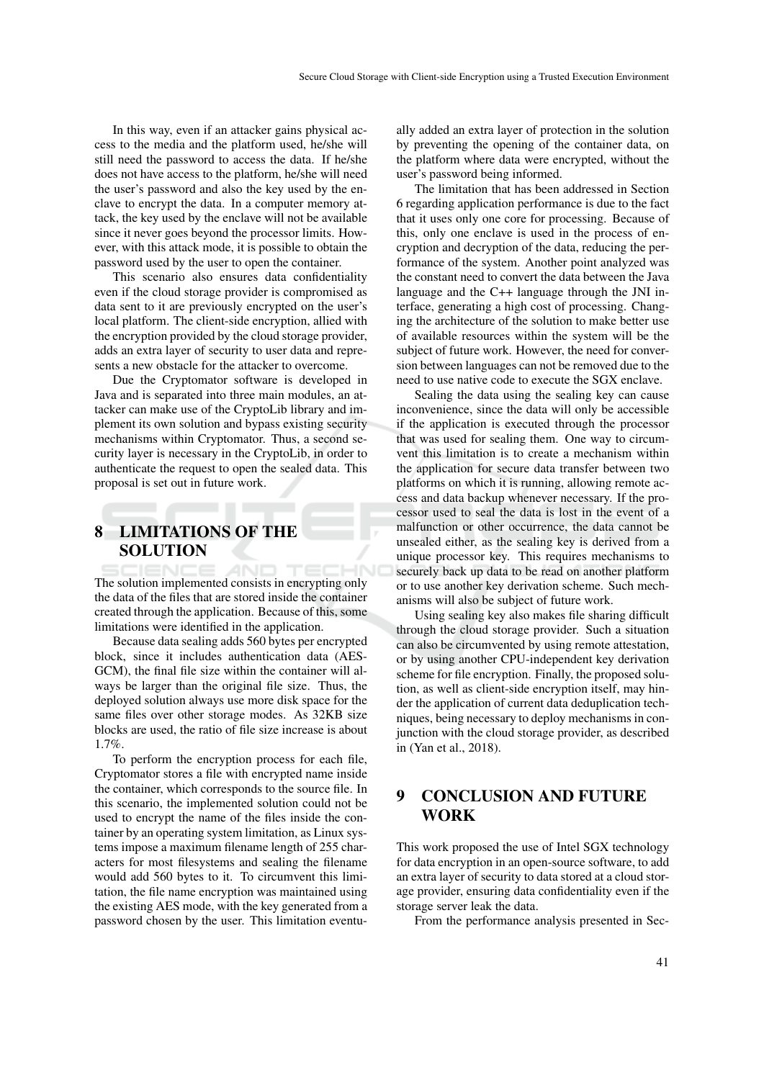In this way, even if an attacker gains physical access to the media and the platform used, he/she will still need the password to access the data. If he/she does not have access to the platform, he/she will need the user's password and also the key used by the enclave to encrypt the data. In a computer memory attack, the key used by the enclave will not be available since it never goes beyond the processor limits. However, with this attack mode, it is possible to obtain the password used by the user to open the container.

This scenario also ensures data confidentiality even if the cloud storage provider is compromised as data sent to it are previously encrypted on the user's local platform. The client-side encryption, allied with the encryption provided by the cloud storage provider, adds an extra layer of security to user data and represents a new obstacle for the attacker to overcome.

Due the Cryptomator software is developed in Java and is separated into three main modules, an attacker can make use of the CryptoLib library and implement its own solution and bypass existing security mechanisms within Cryptomator. Thus, a second security layer is necessary in the CryptoLib, in order to authenticate the request to open the sealed data. This proposal is set out in future work.

# 8 LIMITATIONS OF THE SOLUTION

The solution implemented consists in encrypting only the data of the files that are stored inside the container created through the application. Because of this, some limitations were identified in the application.

Because data sealing adds 560 bytes per encrypted block, since it includes authentication data (AES-GCM), the final file size within the container will always be larger than the original file size. Thus, the deployed solution always use more disk space for the same files over other storage modes. As 32KB size blocks are used, the ratio of file size increase is about 1.7%.

To perform the encryption process for each file, Cryptomator stores a file with encrypted name inside the container, which corresponds to the source file. In this scenario, the implemented solution could not be used to encrypt the name of the files inside the container by an operating system limitation, as Linux systems impose a maximum filename length of 255 characters for most filesystems and sealing the filename would add 560 bytes to it. To circumvent this limitation, the file name encryption was maintained using the existing AES mode, with the key generated from a password chosen by the user. This limitation eventually added an extra layer of protection in the solution by preventing the opening of the container data, on the platform where data were encrypted, without the user's password being informed.

The limitation that has been addressed in Section 6 regarding application performance is due to the fact that it uses only one core for processing. Because of this, only one enclave is used in the process of encryption and decryption of the data, reducing the performance of the system. Another point analyzed was the constant need to convert the data between the Java language and the C++ language through the JNI interface, generating a high cost of processing. Changing the architecture of the solution to make better use of available resources within the system will be the subject of future work. However, the need for conversion between languages can not be removed due to the need to use native code to execute the SGX enclave.

Sealing the data using the sealing key can cause inconvenience, since the data will only be accessible if the application is executed through the processor that was used for sealing them. One way to circumvent this limitation is to create a mechanism within the application for secure data transfer between two platforms on which it is running, allowing remote access and data backup whenever necessary. If the processor used to seal the data is lost in the event of a malfunction or other occurrence, the data cannot be unsealed either, as the sealing key is derived from a unique processor key. This requires mechanisms to securely back up data to be read on another platform or to use another key derivation scheme. Such mechanisms will also be subject of future work.

Using sealing key also makes file sharing difficult through the cloud storage provider. Such a situation can also be circumvented by using remote attestation, or by using another CPU-independent key derivation scheme for file encryption. Finally, the proposed solution, as well as client-side encryption itself, may hinder the application of current data deduplication techniques, being necessary to deploy mechanisms in conjunction with the cloud storage provider, as described in (Yan et al., 2018).

# 9 CONCLUSION AND FUTURE WORK

This work proposed the use of Intel SGX technology for data encryption in an open-source software, to add an extra layer of security to data stored at a cloud storage provider, ensuring data confidentiality even if the storage server leak the data.

From the performance analysis presented in Sec-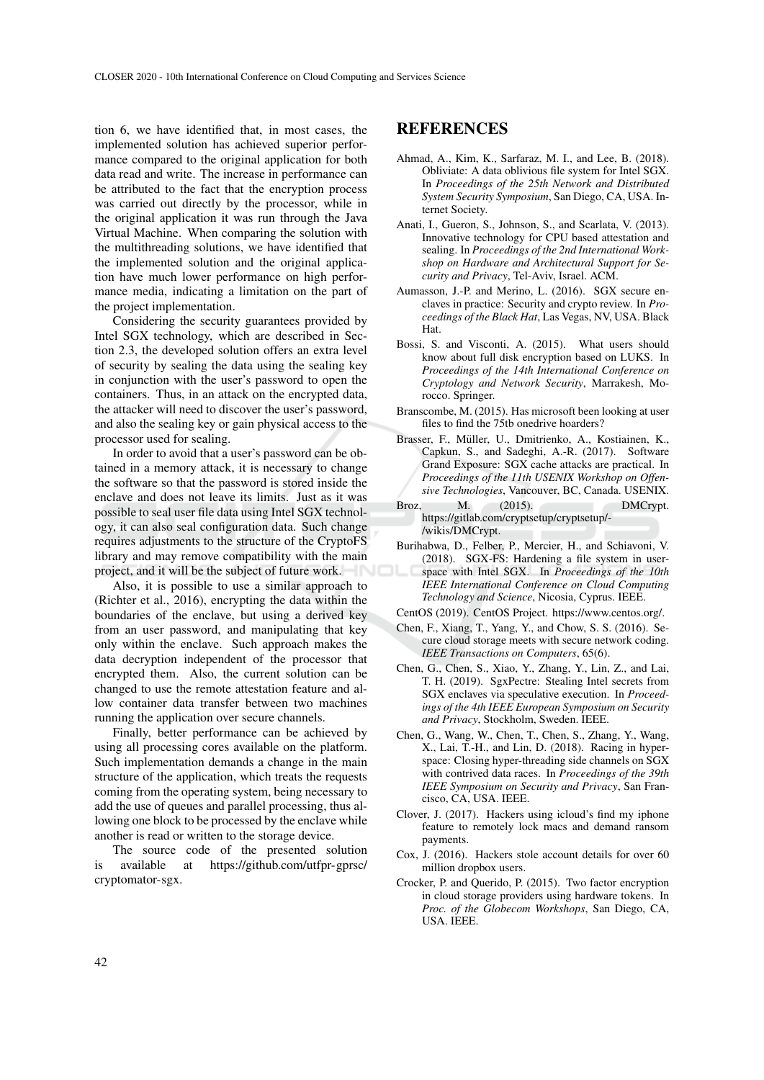tion 6, we have identified that, in most cases, the implemented solution has achieved superior performance compared to the original application for both data read and write. The increase in performance can be attributed to the fact that the encryption process was carried out directly by the processor, while in the original application it was run through the Java Virtual Machine. When comparing the solution with the multithreading solutions, we have identified that the implemented solution and the original application have much lower performance on high performance media, indicating a limitation on the part of the project implementation.

Considering the security guarantees provided by Intel SGX technology, which are described in Section 2.3, the developed solution offers an extra level of security by sealing the data using the sealing key in conjunction with the user's password to open the containers. Thus, in an attack on the encrypted data, the attacker will need to discover the user's password, and also the sealing key or gain physical access to the processor used for sealing.

In order to avoid that a user's password can be obtained in a memory attack, it is necessary to change the software so that the password is stored inside the enclave and does not leave its limits. Just as it was possible to seal user file data using Intel SGX technology, it can also seal configuration data. Such change requires adjustments to the structure of the CryptoFS library and may remove compatibility with the main project, and it will be the subject of future work.

Also, it is possible to use a similar approach to (Richter et al., 2016), encrypting the data within the boundaries of the enclave, but using a derived key from an user password, and manipulating that key only within the enclave. Such approach makes the data decryption independent of the processor that encrypted them. Also, the current solution can be changed to use the remote attestation feature and allow container data transfer between two machines running the application over secure channels.

Finally, better performance can be achieved by using all processing cores available on the platform. Such implementation demands a change in the main structure of the application, which treats the requests coming from the operating system, being necessary to add the use of queues and parallel processing, thus allowing one block to be processed by the enclave while another is read or written to the storage device.

The source code of the presented solution is available at https://github.com/utfpr-gprsc/ cryptomator-sgx.

### REFERENCES

- Ahmad, A., Kim, K., Sarfaraz, M. I., and Lee, B. (2018). Obliviate: A data oblivious file system for Intel SGX. In *Proceedings of the 25th Network and Distributed System Security Symposium*, San Diego, CA, USA. Internet Society.
- Anati, I., Gueron, S., Johnson, S., and Scarlata, V. (2013). Innovative technology for CPU based attestation and sealing. In *Proceedings of the 2nd International Workshop on Hardware and Architectural Support for Security and Privacy*, Tel-Aviv, Israel. ACM.
- Aumasson, J.-P. and Merino, L. (2016). SGX secure enclaves in practice: Security and crypto review. In *Proceedings of the Black Hat*, Las Vegas, NV, USA. Black Hat.
- Bossi, S. and Visconti, A. (2015). What users should know about full disk encryption based on LUKS. In *Proceedings of the 14th International Conference on Cryptology and Network Security*, Marrakesh, Morocco. Springer.
- Branscombe, M. (2015). Has microsoft been looking at user files to find the 75tb onedrive hoarders?
- Brasser, F., Muller, U., Dmitrienko, A., Kostiainen, K., ¨ Capkun, S., and Sadeghi, A.-R. (2017). Software Grand Exposure: SGX cache attacks are practical. In *Proceedings of the 11th USENIX Workshop on Offensive Technologies*, Vancouver, BC, Canada. USENIX.
- Broz, M. (2015). DMCrypt. https://gitlab.com/cryptsetup/cryptsetup/- /wikis/DMCrypt.
- Burihabwa, D., Felber, P., Mercier, H., and Schiavoni, V. (2018). SGX-FS: Hardening a file system in userspace with Intel SGX. In *Proceedings of the 10th IEEE International Conference on Cloud Computing Technology and Science*, Nicosia, Cyprus. IEEE.
- CentOS (2019). CentOS Project. https://www.centos.org/.
- Chen, F., Xiang, T., Yang, Y., and Chow, S. S. (2016). Secure cloud storage meets with secure network coding. *IEEE Transactions on Computers*, 65(6).
- Chen, G., Chen, S., Xiao, Y., Zhang, Y., Lin, Z., and Lai, T. H. (2019). SgxPectre: Stealing Intel secrets from SGX enclaves via speculative execution. In *Proceedings of the 4th IEEE European Symposium on Security and Privacy*, Stockholm, Sweden. IEEE.
- Chen, G., Wang, W., Chen, T., Chen, S., Zhang, Y., Wang, X., Lai, T.-H., and Lin, D. (2018). Racing in hyperspace: Closing hyper-threading side channels on SGX with contrived data races. In *Proceedings of the 39th IEEE Symposium on Security and Privacy*, San Francisco, CA, USA. IEEE.
- Clover, J. (2017). Hackers using icloud's find my iphone feature to remotely lock macs and demand ransom payments.
- Cox, J. (2016). Hackers stole account details for over 60 million dropbox users.
- Crocker, P. and Querido, P. (2015). Two factor encryption in cloud storage providers using hardware tokens. In *Proc. of the Globecom Workshops*, San Diego, CA, USA. IEEE.